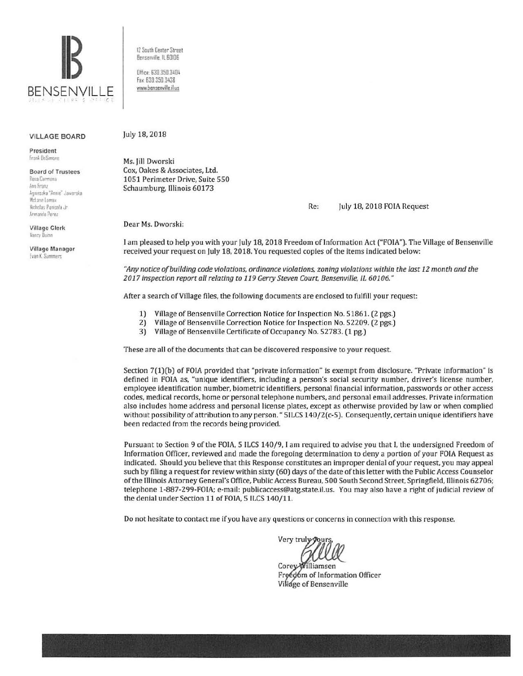

**VILLAGE BOARD** 

President Frank DeSimone

**Board of Trustees** Rosa Carmona Ann Franz Agnieszka "Annie" Jaworska McLane Lomax Nicholas Panicola Jr. Armando Perez

**Village Clerk** Nancy Duinn

Village Manager **Evan K. Summers** 

12 South Center Street Bensenville, IL 60106

Office: 630.350.3404 Fax: 630.350.3438 www.bensenville.il.us

July 18, 2018

Ms. Jill Dworski Cox, Oakes & Associates, Ltd. 1051 Perimeter Drive, Suite 550 Schaumburg, Illinois 60173

> Re: July 18, 2018 FOIA Request

Dear Ms. Dworski:

I am pleased to help you with your July 18, 2018 Freedom of Information Act ("FOIA"). The Village of Bensenville received your request on July 18, 2018. You requested copies of the items indicated below:

"Any notice of building code violations, ordinance violations, zoning violations within the last 12 month and the 2017 inspection report all relating to 119 Gerry Steven Court, Bensenville, IL 60106."

After a search of Village files, the following documents are enclosed to fulfill your request:

- $1)$ Village of Bensenville Correction Notice for Inspection No. 51861. (2 pgs.)
- $2)$ Village of Bensenville Correction Notice for Inspection No. 52209. (2 pgs.)
- 3) Village of Bensenville Certificate of Occupancy No. 52783. (1 pg.)

These are all of the documents that can be discovered responsive to your request.

Section 7(1)(b) of FOIA provided that "private information" is exempt from disclosure. "Private information" is defined in FOIA as, "unique identifiers, including a person's social security number, driver's license number, employee identification number, biometric identifiers, personal financial information, passwords or other access codes, medical records, home or personal telephone numbers, and personal email addresses. Private information also includes home address and personal license plates, except as otherwise provided by law or when complied without possibility of attribution to any person. " 5ILCS 140/2(c-5). Consequently, certain unique identifiers have been redacted from the records being provided.

Pursuant to Section 9 of the FOIA, 5 ILCS 140/9, I am required to advise you that I, the undersigned Freedom of Information Officer, reviewed and made the foregoing determination to deny a portion of your FOIA Request as indicated. Should you believe that this Response constitutes an improper denial of your request, you may appeal such by filing a request for review within sixty (60) days of the date of this letter with the Public Access Counselor of the Illinois Attorney General's Office, Public Access Bureau, 500 South Second Street, Springfield, Illinois 62706; telephone 1-887-299-FOIA; e-mail: publicaccess@atg.state.il.us. You may also have a right of judicial review of the denial under Section 11 of FOIA, 5 ILCS 140/11.

Do not hesitate to contact me if you have any questions or concerns in connection with this response.

Very trul

Corey Williamsen Froedom of Information Officer Village of Bensenville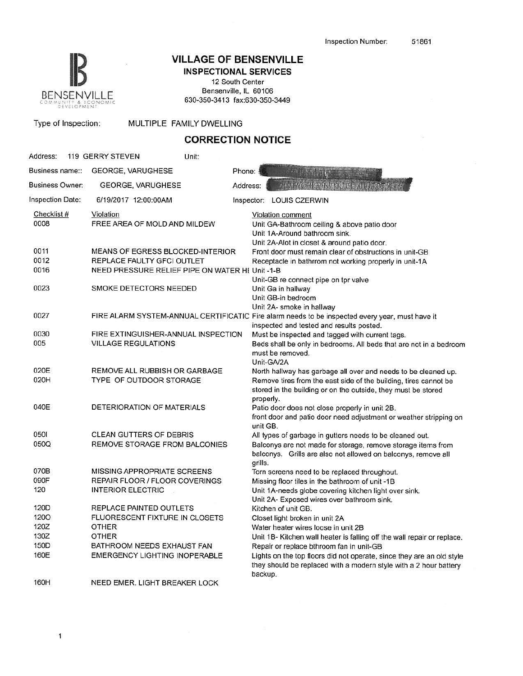

# **IB VILLAGE OF BENSENVILLE**

INSPECTIONAL SERVICES 12 South Center Bensenville, IL 60106

630-350-3413 fax:630-350-3449

| $-0.000$<br>DEVELOPMENT |                                                                        |                                                                                                                                                  |                                                                                                                                                                                                                  |  |
|-------------------------|------------------------------------------------------------------------|--------------------------------------------------------------------------------------------------------------------------------------------------|------------------------------------------------------------------------------------------------------------------------------------------------------------------------------------------------------------------|--|
| Type of Inspection:     |                                                                        | MULTIPLE FAMILY DWELLING                                                                                                                         |                                                                                                                                                                                                                  |  |
|                         |                                                                        | <b>CORRECTION NOTICE</b>                                                                                                                         |                                                                                                                                                                                                                  |  |
| Address:                | 119 GERRY STEVEN                                                       | Unit:                                                                                                                                            |                                                                                                                                                                                                                  |  |
| Business name::         | <b>GEORGE, VARUGHESE</b>                                               | Phone:                                                                                                                                           |                                                                                                                                                                                                                  |  |
| <b>Business Owner:</b>  | GEORGE, VARUGHESE                                                      | Address:                                                                                                                                         | <b>IN MONGRANE RESEARC</b>                                                                                                                                                                                       |  |
| Inspection Date:        | 6/19/2017 12:00:00AM                                                   |                                                                                                                                                  | Inspector: LOUIS CZERWIN                                                                                                                                                                                         |  |
| Checklist #<br>0008     | Violation<br>FREE AREA OF MOLD AND MILDEW                              | Violation comment<br>Unit GA-Bathroom ceiling & above patio door<br>Unit 1A-Around bathroom sink.<br>Unit 2A-Alot in closet & around patio door. |                                                                                                                                                                                                                  |  |
| 0011                    | MEANS OF EGRESS BLOCKED-INTERIOR                                       |                                                                                                                                                  | Front door must remain clear of obstructions in unit-GB                                                                                                                                                          |  |
| 0012                    | REPLACE FAULTY GFCI OUTLET                                             |                                                                                                                                                  | Receptacle in bathrrom not working properly in unit-1A                                                                                                                                                           |  |
| 0016                    | NEED PRESSURE RELIEF PIPE ON WATER HI Unit -1-B                        |                                                                                                                                                  |                                                                                                                                                                                                                  |  |
| 0023                    |                                                                        | Unit-GB re connect pipe on tpr valve<br>SMOKE DETECTORS NEEDED<br>Unit Ga in hallway<br>Unit GB-in bedroom                                       |                                                                                                                                                                                                                  |  |
| 0027                    |                                                                        |                                                                                                                                                  | Unit 2A- smoke in hallway<br>FIRE ALARM SYSTEM-ANNUAL CERTIFICATIC Fire alarm needs to be inspected every year, must have it<br>inspected and tested and results posted.                                         |  |
| 0030                    | FIRE EXTINGUISHER-ANNUAL INSPECTION                                    |                                                                                                                                                  | Must be inspected and tagged with current tags.                                                                                                                                                                  |  |
| 005                     | <b>VILLAGE REGULATIONS</b>                                             |                                                                                                                                                  | Beds shall be only in bedrooms. All beds that are not in a bedroom<br>must be removed.<br>Unit-GA/2A                                                                                                             |  |
| 020E<br>020H            | REMOVE ALL RUBBISH OR GARBAGE<br>TYPE OF OUTDOOR STORAGE               |                                                                                                                                                  | North hallway has garbage all over and needs to be cleaned up.<br>Remove tires from the east side of the building, tires cannot be<br>stored in the building or on the outside, they must be stored<br>properly. |  |
| 040E                    | DETERIORATION OF MATERIALS                                             |                                                                                                                                                  | Patio door does not close properly in unit 2B.<br>front door and patio door need adjustment or weather stripping on<br>unit GB.                                                                                  |  |
| 0501<br>050Q            | <b>CLEAN GUTTERS OF DEBRIS</b><br><b>REMOVE STORAGE FROM BALCONIES</b> |                                                                                                                                                  | All types of garbage in gutters needs to be cleaned out.<br>Balconys are not made for storage, remove storage items from<br>balconys. Grills are also not allowed on balconys, remove all<br>grills.             |  |
| 070B                    | MISSING APPROPRIATE SCREENS                                            |                                                                                                                                                  | Torn screens need to be replaced throughout.                                                                                                                                                                     |  |
| 090F                    | <b>REPAIR FLOOR / FLOOR COVERINGS</b>                                  |                                                                                                                                                  | Missing floor tiles in the bathroom of unit -1B                                                                                                                                                                  |  |
| 120                     | <b>INTERIOR ELECTRIC</b>                                               |                                                                                                                                                  | Unit 1A-needs globe covering kitchen light over sink.                                                                                                                                                            |  |
| 120D                    | REPLACE PAINTED OUTLETS                                                |                                                                                                                                                  | Unit 2A- Exposed wires over bathroom sink.<br>Kitchen of unit GB.                                                                                                                                                |  |
| 1200                    | FLUORESCENT FIXTURE IN CLOSETS                                         |                                                                                                                                                  | Closet light broken in unit 2A                                                                                                                                                                                   |  |
| 120Z                    | OTHER                                                                  |                                                                                                                                                  | Water heater wires loose in unit 2B                                                                                                                                                                              |  |
| 130Z                    | OTHER                                                                  |                                                                                                                                                  | Unit 1B- Kitchen wall heater is falling off the wall repair or replace.                                                                                                                                          |  |
| 150D                    | BATHROOM NEEDS EXHAUST FAN                                             |                                                                                                                                                  | Repair or replace bthroom fan in unit-GB                                                                                                                                                                         |  |
| 160E                    | EMERGENCY LIGHTING INOPERABLE                                          |                                                                                                                                                  | Lights on the top floors did not operate, since they are an old style<br>they should be replaced with a modern style with a 2 hour battery<br>backup.                                                            |  |
| 160H                    | NEED EMER. LIGHT BREAKER LOCK                                          |                                                                                                                                                  |                                                                                                                                                                                                                  |  |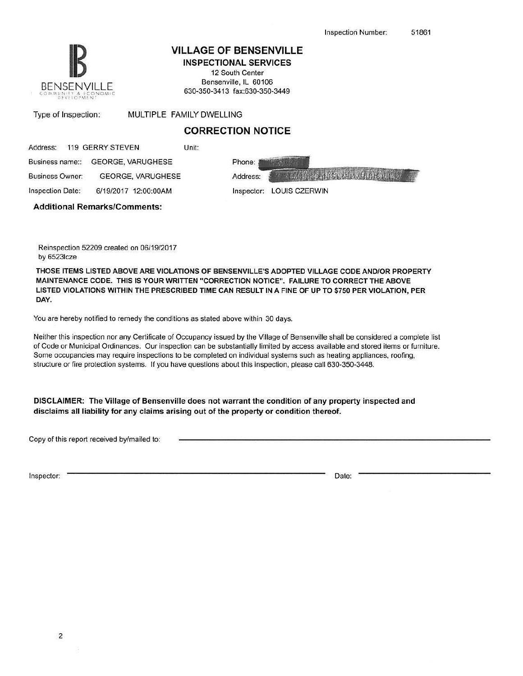

Business Owner:

#### VILLAGE OF BENSENVILLE

INSPECTIONAL SERVICES 12 South Center

Bensenville, IL 60106 630-350-3413 fax:630-350-3449

| Type of Inspection: | MULTIPLE FAMILY |  |
|---------------------|-----------------|--|
|                     |                 |  |

# CORRECTION NOTICE

DWELLING

|  | Address: 119 GERRY STEVEN         | Unit: |        |
|--|-----------------------------------|-------|--------|
|  | Business name:: GEORGE, VARUGHESE |       | Phone: |

GEORGE, VARUGHESE

**Consigner (MSI) STEVIERS PRE** Address:

Inspection Date:

6/19/2017 12:00:00AM Inspector: LOUIS CZERWIN

Additional Remarks/Comments:

Reinspection 52209 created on 06/19/2017 by 65231cze

THOSE ITEMS LISTED ABOVE ARE VIOLATIONS OF BENSENVILLE'S ADOPTED VILLAGE CODE AND/OR PROPERTY MAINTENANCE CODE. THIS IS YOUR WRITIEN "CORRECTION NOTICE". FAILURE TO CORRECT THE ABOVE LISTED VIOLATIONS WITHIN THE PRESCRIBED TIME CAN RESULT IN A FINE OF UP TO \$750 PER VIOLATION, PER DAY.

You are hereby notified to remedy the conditions as stated above within 30 days.

Neither this inspection nor any Certificate of Occupancy issued by the Village of Bensenville shall be considered a complete list of Code or Municipal Ordinances. Our inspection can be substantially limited by access available and stored items or furniture. Some occupancies may require inspections to be completed on individual systems such as heating appliances, roofing, structure or fire protection systems. If you have questions about this inspection, please call 630-350-3448.

DISCLAIMER: The Village of Bensenville does not warrant the condition of any property inspected and disclaims all liability for any claims arising out of the property or condition thereof.

Copy of this report received by/mailed to:

Inspector: Date: Date: Date: Date: Date: Date: Date: Date: Date: Date: Date: Date: Date: Date: Date: Date: Date: Date: Date: Date: Date: Date: Date: Date: Date: Date: Date: Date: Date: Date: Date: Date: Date: Date: Date: D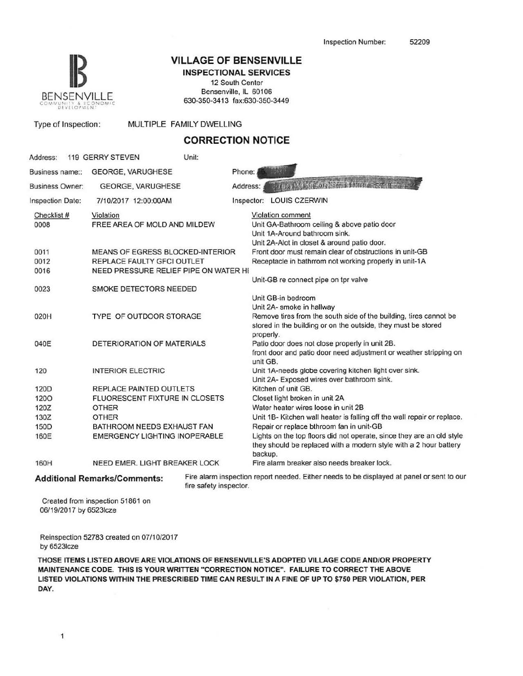

#### **VILLAGE OF BENSENVILLE** INSPECTIONAL SERVICES

12 South Center Bensenville, IL 60106 630-350-3413 fax:630-350-3449

| Type of Inspection:    | MULTIPLE FAMILY DWELLING                                              |                                                                                                                                                                              |
|------------------------|-----------------------------------------------------------------------|------------------------------------------------------------------------------------------------------------------------------------------------------------------------------|
|                        |                                                                       | <b>CORRECTION NOTICE</b>                                                                                                                                                     |
| Address:               | Unit:<br>119 GERRY STEVEN                                             |                                                                                                                                                                              |
| Business name::        | <b>GEORGE, VARUGHESE</b>                                              | Phone:                                                                                                                                                                       |
| <b>Business Owner:</b> | <b>GEORGE, VARUGHESE</b>                                              | <b>SUMICATE AN IS THAN IN REPORT</b><br>Address:                                                                                                                             |
| Inspection Date:       | 7/10/2017 12:00:00AM                                                  | Inspector: LOUIS CZERWIN                                                                                                                                                     |
| Checklist #<br>0008    | Violation<br>FREE AREA OF MOLD AND MILDEW                             | Violation comment<br>Unit GA-Bathroom ceiling & above patio door<br>Unit 1A-Around bathroom sink.<br>Unit 2A-Alot in closet & around patio door.                             |
| 0011<br>0012           | <b>MEANS OF EGRESS BLOCKED-INTERIOR</b><br>REPLACE FAULTY GFCI OUTLET | Front door must remain clear of obstructions in unit-GB<br>Receptacle in bathrrom not working properly in unit-1A                                                            |
| 0016                   | NEED PRESSURE RELIEF PIPE ON WATER HI                                 | Unit-GB re connect pipe on tpr valve                                                                                                                                         |
| 0023                   | SMOKE DETECTORS NEEDED                                                | Unit GB-in bedroom                                                                                                                                                           |
| 020H                   | TYPE OF OUTDOOR STORAGE                                               | Unit 2A- smoke in hallway<br>Remove tires from the south side of the building, tires cannot be<br>stored in the building or on the outside, they must be stored<br>properly. |
| 040E                   | DETERIORATION OF MATERIALS                                            | Patio door does not close properly in unit 2B.<br>front door and patio door need adjustment or weather stripping on<br>unit GB.                                              |
| 120                    | <b>INTERIOR ELECTRIC</b>                                              | Unit 1A-needs globe covering kitchen light over sink.<br>Unit 2A- Exposed wires over bathroom sink.                                                                          |
| 120D                   | REPLACE PAINTED OUTLETS                                               | Kitchen of unit GB.                                                                                                                                                          |
| 1200                   | FLUORESCENT FIXTURE IN CLOSETS                                        | Closet light broken in unit 2A                                                                                                                                               |
| 120Z                   | <b>OTHER</b>                                                          | Water heater wires loose in unit 2B                                                                                                                                          |
| 130Z                   | <b>OTHER</b>                                                          | Unit 1B- Kitchen wall heater is falling off the wall repair or replace.                                                                                                      |
| 150D                   | BATHROOM NEEDS EXHAUST FAN                                            | Repair or replace bthroom fan in unit-GB                                                                                                                                     |
| 160E                   | <b>EMERGENCY LIGHTING INOPERABLE</b>                                  | Lights on the top floors did not operate, since they are an old style<br>they should be replaced with a modern style with a 2 hour battery<br>backup.                        |
| 160H                   | NEED EMER. LIGHT BREAKER LOCK                                         | Fire alarm breaker also needs breaker lock.                                                                                                                                  |

Additional Remarks/Comments: Fire alarm inspection report needed. Either needs to be displayed at panel or sent to our fire safety inspector.

Created from inspection 51861 on 06/19/2017 by 65231cze

Reinspection 52783 created on 07/10/2017 by 65231cze

THOSE ITEMS LISTED ABOVE ARE VIOLATIONS OF BENSENVILLE'S ADOPTED VILLAGE CODE AND/OR PROPERTY MAINTENANCE CODE. THIS IS YOUR WRITTEN "CORRECTION NOTICE". FAILURE TO CORRECT THE ABOVE LISTED VIOLATIONS WITHIN THE PRESCRIBED TIME CAN RESULT IN A FINE OF UP TO \$750 PER VIOLATION, PER DAY.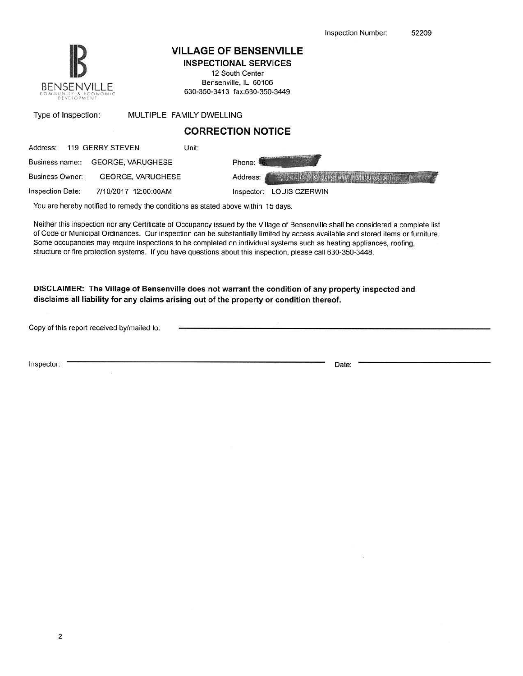

### VILLAGE OF BENSENVILLE

INSPECTIONAL SERVICES 12 South Center Bensenville, IL 60106

630-350-3413 fax:630-350-3449

| Type of Inspection:                                                                                              |                          | MULTIPLE FAMILY DWELLING                           |
|------------------------------------------------------------------------------------------------------------------|--------------------------|----------------------------------------------------|
|                                                                                                                  |                          | <b>CORRECTION NOTICE</b>                           |
| Address:                                                                                                         | 119 GERRY STEVEN         | Unit:                                              |
| Business name::                                                                                                  | <b>GEORGE, VARUGHESE</b> | Phone:                                             |
| <b>Business Owner:</b>                                                                                           | GEORGE, VARUGHESE        | <b>CONTO CAN SERVE HORPUS CONTINES</b><br>Address: |
| and the control of the control of the control of the control of the control of the control of the control of the |                          |                                                    |

Inspection Date: 7/10/2017 12:00:00AM Inspector: LOUIS CZERWIN

You are hereby notified to remedy the conditions as stated above within 15 days.

Neither this inspection nor any Certificate of Occupancy issued by the Village of Bensenville shall be considered a complete list of Code or Municipal Ordinances. Our inspection can be substantially limited by access available and stored items or furniture. Some occupancies may require inspections to be completed on individual systems such as healing appliances, roofing, structure or fire protection systems. If you have questions about this inspection, please call 630-350-3448.

DISCLAIMER: The Village of Bensenville does not warrant the condition of any property inspected and disclaims all liability for any claims arising out of the property or condition thereof.

Copy of this report received by/mailed to:

Inspector: Date: